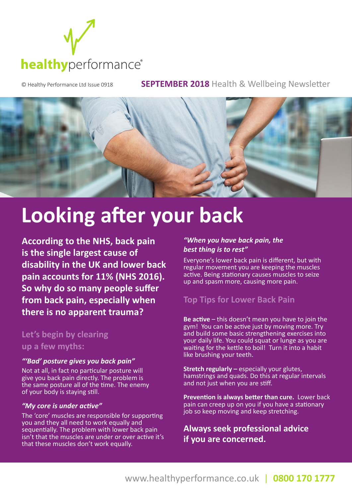

© Healthy Performance Ltd Issue 0918 **SEPTEMBER 2018** Health & Wellbeing Newsletter



# **Looking after your back**

**According to the NHS, back pain is the single largest cause of disability in the UK and lower back pain accounts for 11% (NHS 2016). So why do so many people suffer from back pain, especially when there is no apparent trauma?**

### **Let's begin by clearing up a few myths:**

#### *"'Bad' posture gives you back pain"*

Not at all, in fact no particular posture will give you back pain directly. The problem is the same posture all of the time. The enemy of your body is staying still.

#### *"My core is under active"*

The 'core' muscles are responsible for supporting you and they all need to work equally and sequentially. The problem with lower back pain isn't that the muscles are under or over active it's that these muscles don't work equally.

#### *"When you have back pain, the best thing is to rest"*

Everyone's lower back pain is different, but with regular movement you are keeping the muscles active. Being stationary causes muscles to seize up and spasm more, causing more pain.

### **Top Tips for Lower Back Pain**

**Be active** – this doesn't mean you have to join the gym! You can be active just by moving more. Try and build some basic strengthening exercises into your daily life. You could squat or lunge as you are waiting for the kettle to boil! Turn it into a habit like brushing your teeth.

**Stretch regularly – especially your glutes,** hamstrings and quads. Do this at regular intervals and not just when you are stiff.

**Prevention is always better than cure.** Lower back pain can creep up on you if you have a stationary job so keep moving and keep stretching.

**Always seek professional advice if you are concerned.**